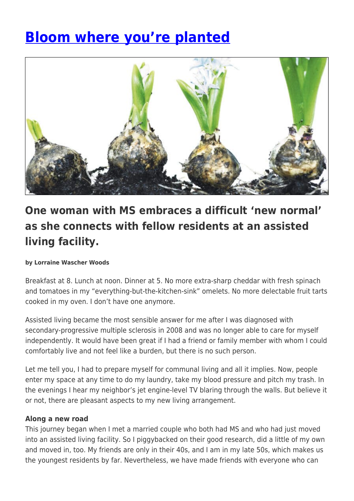# **[Bloom where you're planted](https://momentummagazineonline.com/bloom-youre-planted/)**



# **One woman with MS embraces a difficult 'new normal' as she connects with fellow residents at an assisted living facility.**

#### **by Lorraine Wascher Woods**

Breakfast at 8. Lunch at noon. Dinner at 5. No more extra-sharp cheddar with fresh spinach and tomatoes in my "everything-but-the-kitchen-sink" omelets. No more delectable fruit tarts cooked in my oven. I don't have one anymore.

Assisted living became the most sensible answer for me after I was diagnosed with secondary-progressive multiple sclerosis in 2008 and was no longer able to care for myself independently. It would have been great if I had a friend or family member with whom I could comfortably live and not feel like a burden, but there is no such person.

Let me tell you, I had to prepare myself for communal living and all it implies. Now, people enter my space at any time to do my laundry, take my blood pressure and pitch my trash. In the evenings I hear my neighbor's jet engine-level TV blaring through the walls. But believe it or not, there are pleasant aspects to my new living arrangement.

#### **Along a new road**

This journey began when I met a married couple who both had MS and who had just moved into an assisted living facility. So I piggybacked on their good research, did a little of my own and moved in, too. My friends are only in their 40s, and I am in my late 50s, which makes us the youngest residents by far. Nevertheless, we have made friends with everyone who can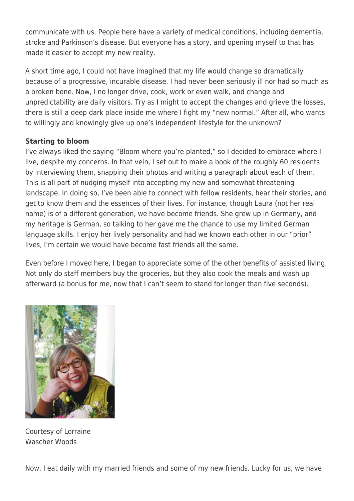communicate with us. People here have a variety of medical conditions, including dementia, stroke and Parkinson's disease. But everyone has a story, and opening myself to that has made it easier to accept my new reality.

A short time ago, I could not have imagined that my life would change so dramatically because of a progressive, incurable disease. I had never been seriously ill nor had so much as a broken bone. Now, I no longer drive, cook, work or even walk, and change and unpredictability are daily visitors. Try as I might to accept the changes and grieve the losses, there is still a deep dark place inside me where I fight my "new normal." After all, who wants to willingly and knowingly give up one's independent lifestyle for the unknown?

## **Starting to bloom**

I've always liked the saying "Bloom where you're planted," so I decided to embrace where I live, despite my concerns. In that vein, I set out to make a book of the roughly 60 residents by interviewing them, snapping their photos and writing a paragraph about each of them. This is all part of nudging myself into accepting my new and somewhat threatening landscape. In doing so, I've been able to connect with fellow residents, hear their stories, and get to know them and the essences of their lives. For instance, though Laura (not her real name) is of a different generation, we have become friends. She grew up in Germany, and my heritage is German, so talking to her gave me the chance to use my limited German language skills. I enjoy her lively personality and had we known each other in our "prior" lives, I'm certain we would have become fast friends all the same.

Even before I moved here, I began to appreciate some of the other benefits of assisted living. Not only do staff members buy the groceries, but they also cook the meals and wash up afterward (a bonus for me, now that I can't seem to stand for longer than five seconds).



Courtesy of Lorraine Wascher Woods

Now, I eat daily with my married friends and some of my new friends. Lucky for us, we have